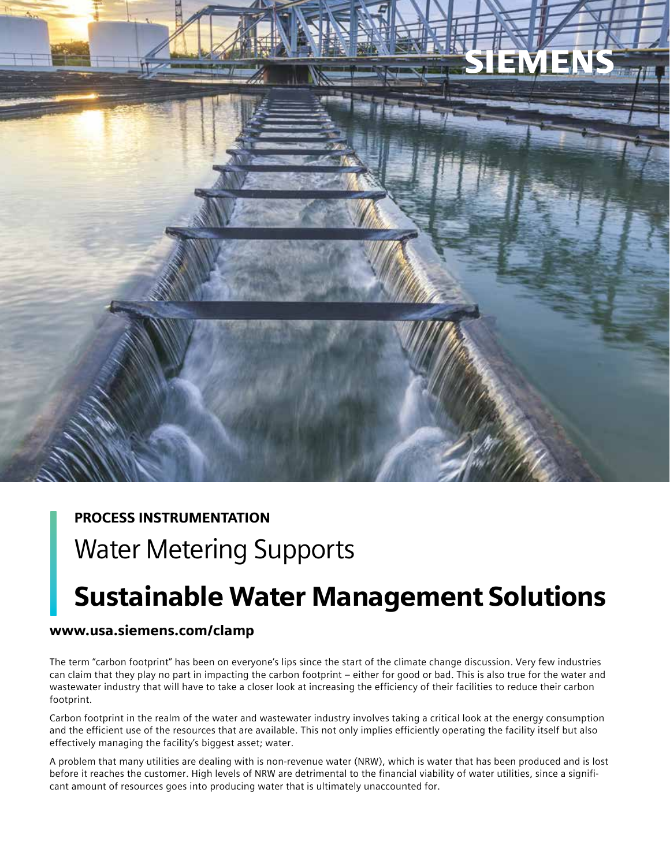

## PROCESS INSTRUMENTATION

## Water Metering Supports

# Sustainable Water Management Solutions

### www.usa.siemens.com/clamp

The term "carbon footprint" has been on everyone's lips since the start of the climate change discussion. Very few industries can claim that they play no part in impacting the carbon footprint – either for good or bad. This is also true for the water and wastewater industry that will have to take a closer look at increasing the efficiency of their facilities to reduce their carbon footprint.

Carbon footprint in the realm of the water and wastewater industry involves taking a critical look at the energy consumption and the efficient use of the resources that are available. This not only implies efficiently operating the facility itself but also effectively managing the facility's biggest asset; water.

A problem that many utilities are dealing with is non-revenue water (NRW), which is water that has been produced and is lost before it reaches the customer. High levels of NRW are detrimental to the financial viability of water utilities, since a significant amount of resources goes into producing water that is ultimately unaccounted for.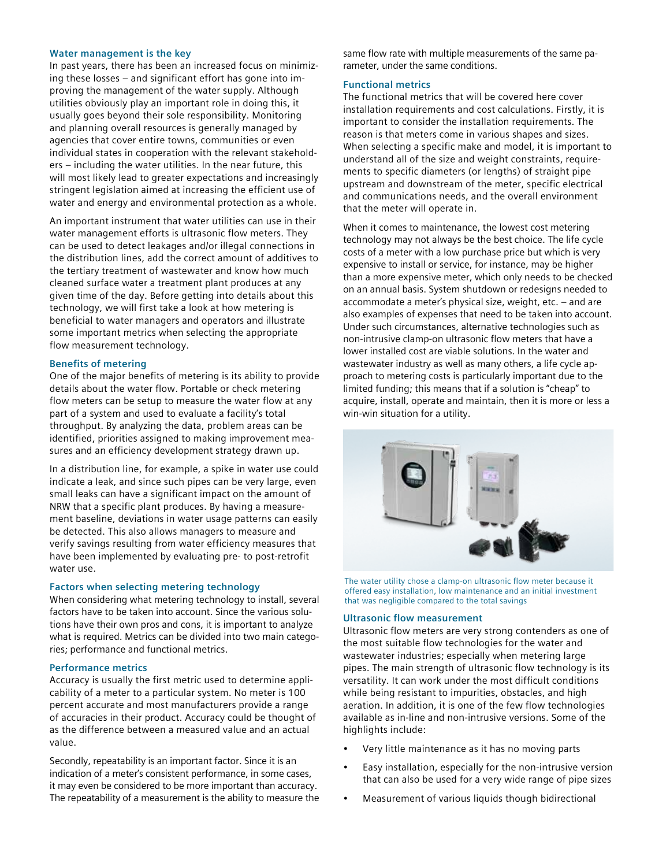#### **Water management is the key**

In past years, there has been an increased focus on minimizing these losses – and significant effort has gone into improving the management of the water supply. Although utilities obviously play an important role in doing this, it usually goes beyond their sole responsibility. Monitoring and planning overall resources is generally managed by agencies that cover entire towns, communities or even individual states in cooperation with the relevant stakeholders – including the water utilities. In the near future, this will most likely lead to greater expectations and increasingly stringent legislation aimed at increasing the efficient use of water and energy and environmental protection as a whole.

An important instrument that water utilities can use in their water management efforts is ultrasonic flow meters. They can be used to detect leakages and/or illegal connections in the distribution lines, add the correct amount of additives to the tertiary treatment of wastewater and know how much cleaned surface water a treatment plant produces at any given time of the day. Before getting into details about this technology, we will first take a look at how metering is beneficial to water managers and operators and illustrate some important metrics when selecting the appropriate flow measurement technology.

#### **Benefits of metering**

One of the major benefits of metering is its ability to provide details about the water flow. Portable or check metering flow meters can be setup to measure the water flow at any part of a system and used to evaluate a facility's total throughput. By analyzing the data, problem areas can be identified, priorities assigned to making improvement measures and an efficiency development strategy drawn up.

In a distribution line, for example, a spike in water use could indicate a leak, and since such pipes can be very large, even small leaks can have a significant impact on the amount of NRW that a specific plant produces. By having a measurement baseline, deviations in water usage patterns can easily be detected. This also allows managers to measure and verify savings resulting from water efficiency measures that have been implemented by evaluating pre- to post-retrofit water use.

#### **Factors when selecting metering technology**

When considering what metering technology to install, several factors have to be taken into account. Since the various solutions have their own pros and cons, it is important to analyze what is required. Metrics can be divided into two main categories; performance and functional metrics.

#### **Performance metrics**

Accuracy is usually the first metric used to determine applicability of a meter to a particular system. No meter is 100 percent accurate and most manufacturers provide a range of accuracies in their product. Accuracy could be thought of as the difference between a measured value and an actual value.

Secondly, repeatability is an important factor. Since it is an indication of a meter's consistent performance, in some cases, it may even be considered to be more important than accuracy. The repeatability of a measurement is the ability to measure the same flow rate with multiple measurements of the same parameter, under the same conditions.

#### **Functional metrics**

The functional metrics that will be covered here cover installation requirements and cost calculations. Firstly, it is important to consider the installation requirements. The reason is that meters come in various shapes and sizes. When selecting a specific make and model, it is important to understand all of the size and weight constraints, requirements to specific diameters (or lengths) of straight pipe upstream and downstream of the meter, specific electrical and communications needs, and the overall environment that the meter will operate in.

When it comes to maintenance, the lowest cost metering technology may not always be the best choice. The life cycle costs of a meter with a low purchase price but which is very expensive to install or service, for instance, may be higher than a more expensive meter, which only needs to be checked on an annual basis. System shutdown or redesigns needed to accommodate a meter's physical size, weight, etc. – and are also examples of expenses that need to be taken into account. Under such circumstances, alternative technologies such as non-intrusive clamp-on ultrasonic flow meters that have a lower installed cost are viable solutions. In the water and wastewater industry as well as many others, a life cycle approach to metering costs is particularly important due to the limited funding; this means that if a solution is "cheap" to acquire, install, operate and maintain, then it is more or less a win-win situation for a utility.



The water utility chose a clamp-on ultrasonic flow meter because it offered easy installation, low maintenance and an initial investment that was negligible compared to the total savings

#### **Ultrasonic flow measurement**

Ultrasonic flow meters are very strong contenders as one of the most suitable flow technologies for the water and wastewater industries; especially when metering large pipes. The main strength of ultrasonic flow technology is its versatility. It can work under the most difficult conditions while being resistant to impurities, obstacles, and high aeration. In addition, it is one of the few flow technologies available as in-line and non-intrusive versions. Some of the highlights include:

- Very little maintenance as it has no moving parts
- Easy installation, especially for the non-intrusive version that can also be used for a very wide range of pipe sizes
- Measurement of various liquids though bidirectional